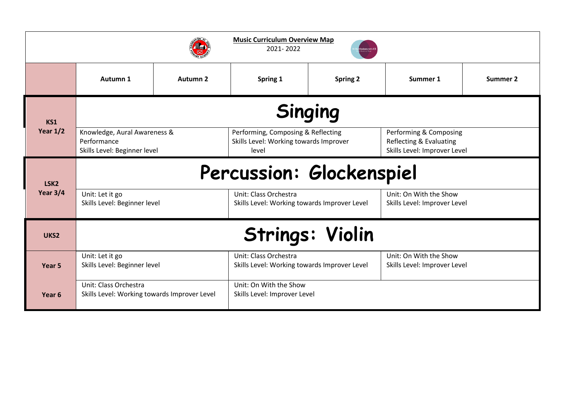| <b>Music Curriculum Overview Map</b><br>2021-2022 |                                                                             |          |                                                                                       |                 |                                                                                   |          |  |  |  |  |
|---------------------------------------------------|-----------------------------------------------------------------------------|----------|---------------------------------------------------------------------------------------|-----------------|-----------------------------------------------------------------------------------|----------|--|--|--|--|
|                                                   | Autumn 1                                                                    | Autumn 2 | Spring 1                                                                              | <b>Spring 2</b> | Summer 1                                                                          | Summer 2 |  |  |  |  |
| <b>KS1</b><br>Year $1/2$                          | <b>Singing</b>                                                              |          |                                                                                       |                 |                                                                                   |          |  |  |  |  |
|                                                   | Knowledge, Aural Awareness &<br>Performance<br>Skills Level: Beginner level |          | Performing, Composing & Reflecting<br>Skills Level: Working towards Improver<br>level |                 | Performing & Composing<br>Reflecting & Evaluating<br>Skills Level: Improver Level |          |  |  |  |  |
| LSK <sub>2</sub><br>Year $3/4$                    | Percussion: Glockenspiel                                                    |          |                                                                                       |                 |                                                                                   |          |  |  |  |  |
|                                                   | Unit: Let it go<br>Skills Level: Beginner level                             |          | Unit: Class Orchestra<br>Skills Level: Working towards Improver Level                 |                 | Unit: On With the Show<br>Skills Level: Improver Level                            |          |  |  |  |  |
| UKS <sub>2</sub>                                  | <b>Strings: Violin</b>                                                      |          |                                                                                       |                 |                                                                                   |          |  |  |  |  |
| Year 5                                            | Unit: Let it go<br>Skills Level: Beginner level                             |          | Unit: Class Orchestra<br>Skills Level: Working towards Improver Level                 |                 | Unit: On With the Show<br>Skills Level: Improver Level                            |          |  |  |  |  |
| Year 6                                            | Unit: Class Orchestra<br>Skills Level: Working towards Improver Level       |          | Unit: On With the Show<br>Skills Level: Improver Level                                |                 |                                                                                   |          |  |  |  |  |